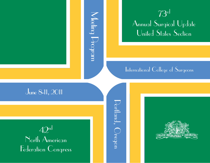# Meeting Program Meeting Drogram



### International College of Surgeons

# June 8-11, 2011

42n<sup>d</sup>

North American Federation Congress

Portland, Oregon  $\bigcup_{\text{orb}}$ land,  $\bigcap_{\text{regon}}$ 

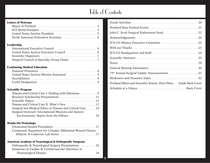# Table of Contents

**3**

#### **Letters of Welcome**

#### **Leadership**

#### **Continuing Medical Education**

#### **Scientific Program**

| Trauma and Critical Care I: Dealing with Dilemmas 9        |  |
|------------------------------------------------------------|--|
| Research Scholarship Presentations 11                      |  |
|                                                            |  |
| Trauma and Critical Care II: What's New 13                 |  |
| Surgical and Medical Ethics in Trauma and Critical Care 14 |  |
| Surgical Outreach: International Missions and Austere      |  |
| Environments: Report from the Fellows                      |  |

#### **Hands-On Workshops**

| Component Separation for Complex Abdominal Wound Closure: |
|-----------------------------------------------------------|
|                                                           |

### **American Academy of Neurological & Orthopaedic Surgeons**

| Orthopaedic & Neurological Surgery Presentations 18 |  |    |
|-----------------------------------------------------|--|----|
| Symposia on Cardiac & Cerebrovascular Disorders in  |  |    |
| <b>Neurosurgical Disease</b>                        |  | 18 |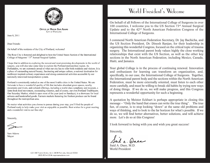

**OFFICE OF MAYOR SAM ADAMS CITY OF PORTLAND** 

June 8, 2011

Dear Friends:

On behalf of the residents of the City of Portland, welcome!

The Rose City is honored and delighted to host the United States Section of the International College of Surgeons' 73<sup>rd</sup> Annual Surgical Update.

I hope that in addition to exploring the newest and most promising developments in the world of surgery, you will also take some time to explore the Portland metropolitan region. As Portlanders, we are extremely proud of what our city has to offer both residents and visitors. It is a place of outstanding natural beauty, fascinating and unique culture, a national destination for northwest inspired culinary experiences and strong commercial activities accessible by our nationally renowned transportation system.

Portland is consistently ranked as one of the most livable cities in the United States. We are fortunate to have a wonderful quality of life that includes abundant green spaces, nearby mountains and rivers, and cultural offerings, including a world class symphony and museum, a farm-fresh food movement, outstanding wineries, and of course, our own Portland Trailblazers. Our Saturday Market, which is open most of the year (and on Sundays), is a showcase for local artisans and handcrafted goods. Farmers markets featuring the freshest produce can be found throughout the metropolitan area.

No matter what activities you choose to pursue during your stay, you'll find the people of Portland ready to help make your visit as enjoyable as possible. Best wishes for a great meeting and a wonderful visit to our fine city!

Sincerely,

Sam Adams Mavor

# World President's Welcome

On behalf of all Fellows of the International College of Surgeons in over 100 countries, I welcome you to the US Section 73rd Annual Surgical Update and to the 42nd North American Federation Congress of the International College of Surgeons.

I commend North American Federation Secretary, Dr. Jay Bachicha, and the US Section President, Dr. Dinesh Ranjan, for their leadership in organizing this wonderful Congress, focused on the critical topic of trauma surgery. The International parent body values highly the close working relationships that exist with the US Section, as well as the other key sections in the North American Federation, including Mexico, Canada, Haiti, and Jamaica.

Your global College is in the process of continuing renewal. Innovation and enthusiasm for learning can transform an organization, and, specifically, in our case, the International College of Surgeons. Together, the International parent body and the sections within the North American Federation, must be more externally oriented, must listen to each other more carefully, and must be willing to break old habits by trying new ways of doing things. If we do so, we will make progress, and this Congress represents a wonderful opportunity for such a beginning.

A quotation by Meister Eckhart is perhaps appropriate in closing this message – "Only the hand that erases can write the true thing". The true fun, of course, is to stop looking "down" at the same old problems and ways of thinking, and to look to the far horizon for what's possible. If we do so, we will find better alternatives, better solutions, and will achieve more. Let's do so at this Congress!

I look forward to being with you and wish you great success!

Sincerely,

**4**

Said A. Daee, M.D. World President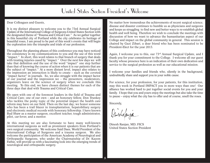# United States Section President's Welcome

#### Dear Colleagues and Guests,

It is my distinct pleasure to welcome you to the 73rd Annual Surgical Update of the International College of Surgeons-United States Section with the designated theme of "Trauma and Critical Care." As we gather together in this beautiful city of Portland while the city celebrates its heritage of beautiful roses, I am proud to be part of this week's events that will begin the exploration into the triumphs and trials of our profession.

Throughout the planning phases of this conference you may have noticed the consistency in my communications to you and the use of this word "impact." In short, this word relates to that branch of surgery that deals with treating injuries cased by "impact." Over the next few days we will take that definition and the use of the word "impact" one step further than that of knowing the course of action when it is our patients that are the subject of "impact." At a more distant level, impact also relates to the impression an interaction is likely to create – such as the coveted "impact factor" in journals. So, we also struggle with the impact factor of our journal and the impression we – the presenters, moderators, organizers leave on the science of surgery when we conclude this meeting. To this end, we have chosen distinct themes for each of the three days that deal with Trauma and Critical Care.

We open with one of the foremost leaders in the field of Trauma and Critical Care; one of our own – and an honorary fellow, Don Trunkey who tackles the pesky topic of the potential impact the health care reform may have on our field. Then on the last day; we honor someone who has been a trail blazer in transplantation, hepatobiliary surgery and electronic medical records with honorary fellowship. I have known Bud Shaw as a master surgeon, excellent teacher, tough administrator, pilot, car-lover, and a mentor.

At this meeting we are also fortunate to have many well-known international surgeons as well as prominent speakers from Portland's own surgical community. We welcome Said Daee, World President of the International College of Surgeons and a trauma surgeon. We also welcome the participation of the American Academy of Neurological and Orthopaedic Surgeons, who under the Chairmanship of Dr. Kazem Fathie, will provide us with a fascinating look into the emerging trends of neurological and orthopaedic surgery.

No matter how tremendous the achievements of recent surgical science; disease and disaster continues to humble us as physicians and surgeons and keeps us struggling to find new and better ways to re-establish global health and well being. Therefore we wish to conclude the meetings with discussion of how we want to advance the humanitarian aspect of our College and impact on the global community in general. This session is chaired by Gazi Zibari, a dear friend who has been nominated to be President-Elect for the year 2013.

Again, I welcome you to this, our 73rd Annual Surgical Update, and I thank you for your commitment to the College. I welcome all our guest faculty whose presence here is an indication of their own dedication and service to the surgical profession as well as our educational mission.

I welcome your families and friends who, silently in the background, undoubtedly share and support you in your noble cause.

For science, for your profession, for your patients, for this institution, may this week in Portland IMPACT you in more ways than one! Our alliance has worked hard to put together social events for you and your family. I hope that you and yours enjoy the meetings but also take the time to pause – enjoy what the city has to offer and of course, smell the roses.

Sincerely,

Dinislesfanga

Dinesh Ranjan, MD, FICS United States Section President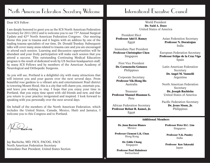#### Dear ICS Fellow:

I am deeply honored to greet you as the ICS North American Federation Secretary for 2011/2012 and to welcome you to our 73rd Annual Surgical Update and 42nd North American Federation Congress. Our meeting theme this year is trauma and it begins with an address by one of the leading trauma specialists of our time, Dr. Donald Trunkey. Subsequent talks will cover many areas related to trauma care and you are encouraged to attend each session. Learning and discussion opportunities will be abundant and your lively participation will make each session that you attend a success. This outstanding Continuing Medical Education program is the result of dedicated work by US Section headquarters staff, by many ICS Fellows and by members of the American Academy of Neurological and Orthopedic Surgeons.

As you will see, Portland is a delightful city with many attractions that will interest you and your guests over the next several days. From beautiful rose gardens to a vibrant arts and entertainment Pearl district to towering Mount Hood, this is a city that will charm you, entertain you, and leave you wishing to stay. I hope that you enjoy your time in Portland, that you enjoy time spent with old friends and new, and that you return to your practice invigorated and inspired. I look forward to speaking with you personally over the next several days.

On behalf of the members of the North American Federation, which includes the United States, Canada, Mexico, Haiti and Jamaica, I welcome you to this Congress and to Portland.

BENCHA

Jay Bachicha, MD, FICS, FACOG, FACS North American Federation Secretary Immediate Past President, United States Section

# International Executive Council

World President **Dr. Said A. Daee** United States of America

President Elect **Professor Adel F. Ramzy** Egypt

Immediate Past President **Professor Christopher Chen** Singapore

First Vice President **Dr. Carmencita Gotauco** Philippines

Corporate Secretary **Professor Yik-Hong Ho** Australia

Treasurer **Professor Manuel Huaman G.** Peru

African Federation Secretary **Professor Refaat R. Kamel, Jr.** Egypt

Asian Federation Secretary **Professor N. Dorairajan** India

European Federation Secretary **Professor Felipe de la Cruz Vigo** Spain

Latin American Federation Secretary **Dr. Angel M. Vannelli** Argentina

North American Federation Secretary **Dr. Joseph Bachicha** United States of America

Pacific Federation Secretary **Dr. Jesus Sison, Jr.** Philippines

#### **Additional Members**

**Dr. Juan Barron Blanco** Mexico

**Professor Clement L.K. Chan** Hong Kong

> **Dr. Eddie Chang** Singapore

**Professor Paul Hahnloser** Switzerland

**6**

**Professor Peter H.C. Lim** Singapore

**Professor N.K. Pandey** India

**Professor Ken Takasaki** Japan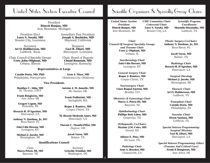President **Dinesh Ranjan, MD** Iron Mountain, Michigan

President Elect **Larry S. Sasaki, MD** Bossier City, Louisiana

Secretary **Ari O. Halldorsson, MD**  Lubbock, Texas

Chair, Council of Specialty Groups **Uretz John Oliphant, MD** Urbana, Illinois

Immediate Past President **Joseph A. Bachicha, MD**

Treasurer **Gazi B. Zibari, MD** Shreveport, Louisiana

Chair, Board of Regents **Chand Ramaiah, MD** Lexington, Kentucky

#### **Representatives at Large**

**Cataldo Doria, MD, PhD** Philadelphia, Pennsylvania Oklahoma City, Oklahoma

#### **Vice Presidents**

**Boniface C. Abba, MD** St. Thomas, USVI

**Frank Bongiorno, MD** Ann Arbor, MI

**Gregory Caputy, MD** Honolulu, HI

**Horacio R. D'Agostino, MD** Shreveport, LA

**Anthony N. Dardano, Jr., DO** Boca Raton, FL

**Zaki-Udin Hassan, MD** Lexington, KY

**Michael J. Jacobs, MD** Birmingham, MI

Hayward, California

**Gene L. Muse, MD**

**Antoine J. M. Jumelle, MD** Mc Alester, OK

**Frank Podbielski, MD** Springfield, MA

**Roque J. Ramirez, MD** Corpus Christi, TX

**M. Hosein Shokouh-Amiri, MD** Shreveport, LA

**Thavam C. Thambi-Pillai, MD** Dayton, OH

> **Jacob Varon, MD** Belaire, TX

#### **Qualifications Council**

Chair **Marco Pelosi, III, MD** Bayonne, NJ

**Secretary Griselda Trinidad, MD** Washington, DC

**7**

# United States Section Executive Council | Scientific Organizers & Specialty Group Chairs

*United States Section President*  **Dinesh Ranjan, MD** Iron Mountain, MI

*CME Committee Chair Colorectal Chair* **Larry S. Sasaki, MD** Bossier City, LA

*Scientific Program Coordinator* **Sharmila Dissanaike, MD** Lubbock, TX

*Chair Council Of Surgical Specialty Groups and Trauma Chair*  **Uretz J. Oliphant, MD** Urbana, IL

> *Anesthesiology Chair* **Zaki-Udin Hassan, MD** Lexington, KY

> *General Surgery Chair* **Roque J. Ramirez, MD** Corpus Christi, TX

*Neurosurgery Chair* **Clara Raquel Epstein, MD** Boulder, CO

*Obstetrics & Gynecology Chair* **Marco A. Pelosi III, MD** Bayonne, NJ

> *Ophthalmology Chair* **Phillips Kirk Labor, MD**  Grapevine, TX

> *Orthopaedic Co-Chairs* **Maxime J.M. Coles, MD** Gerard, KS

**Alfonse E. Pino, MD** De Leon, TX

*Pathology Chair* **Arno A. Roscher, MD** Chatsworth, CA

*Plastic Surgery Co-Chairs* **Anthony N. Dardano, Jr., DO** Boca Raton, FL

> **Jacob Varon, MD**  Belaire, TX

*Radiology Chair* **Horacio R. D'Agostino, MD** Shreveport, LA

*Surgical Oncology* **Michael J. Jacobs, MD** Birmingham, MI

*Thoracic Chair* **Ari O. Halldorsson, MD** Lubbock, TX

> *Transplant Chair* **Cataldo Doria, MD** Philadelphia, PA

*Vascular Chair*  **Dixon Santana, MD** Lubbock, TX

*Special Interest Programming: Surgical Missions* **Gazi B. Zibari, MD** Shreveport, LA

*Special Interest Programming: Ethics (Trauma And Critical Care)* **Frank P. Bongiorno, MD** Ann Arbor, MI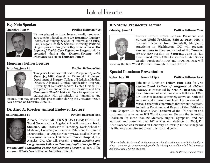# Featured Presenters

#### **Key Note Speaker**



We are pleased to have Internationally renowned advocate for injured patients **Dr. Donald D. Trunkey**, Professor of Surgery, Section of Trauma and Critical Care, Oregon Health & Science University, Portland, Oregon provide this year's Key Note Address *The Impact of Health Care Reform on Surgery,* will be presented during the *Trauma: Dealing with Dilemmas* session on **Thursday, June 9**.

### **Honorary Fellow Lecture**

#### **Saturday, June 11 Pavilion Ballroom West**



This year's Honorary Fellowship Recipient, **Byers W. Shaw, Jr., MD.** Musselman Centennial Professor, Department of Surgery, College of Medicine, Medical Director, Advanced Clinical Application Program, University of Nebraska Medical Center, Omaha, NE will present on one of his current passions and how *Computers Should Make It Easy* to speed patient management with an infusion of humanities and

trauma. You may observe this presentation during the *Trauma: What's New* session on **Saturday, June 11**.

### **Dr. Arno A. Roscher Annual Endowed Lecture**

**Saturday, June 11 Pavilion Ballroom West**

**8**



Arno A. Roscher, MD, FICS (HON.) FCAP, FASCP, ICS World Governor, Los Angeles, CA, will introduce: **Ira A. Shulman, MD**, Professor of Pathology, Keck School of Medicine, University of Southern California, Director of Laboratories, Los Angeles County/USC Medical Center, Transfusion Services, USC Norris Cancer Hospital, Los Angeles, CA, who will present: *Critical Bleeding and Coagulopathy Following Trauma; Implications for Blood*

*Product and Coagulation Factor Replacement Therapy,* as part of the *Trauma: What's New* session on **Saturday, June 11.** 

### **ICS World President's Lecture**





Former United States Section President and current World President, **Said A. Daee, MD**, <sup>a</sup> Trauma Specialist from Greenbelt, Maryland, practicing in Washington, DC will present; *Interventions in Trauma,* as part of the *Trauma: What's New* session on **Saturday, June 11.** Dr. Daee joined ICS in 1986. He was the United States Section President in 1995 and 1996. Dr. Daee will

serve as the ICS World President through the end of 2012

### **Special Luncheon Presentation**

**Friday, June 10 Noon-1:15pm Pavilion Ballroom East**



Join us at lunch on **Friday, June 10th** for *The International College of Surgeons: A 42-Year Journey* as presented by **Arno A. Roscher, MD.** From his time of acceptance as a Fellow in 1968, Dr. Roscher became extremely active on both the national and international level. He has served on various scientific committees throughout the years, including President and Regent of the California

State Chapter. He has been a Vice President of the US Section and continues to serve as an ICS World Governor. He was the Scientific Chairman for more than 20 Medical/Surgical Symposia, and has authored and presented over 100 articles and abstracts. In 2004, Dr. Arno Roscher was awarded an Honorary Fellowship in the College for his life-long commitment to our mission and goals.

*"Man—whether in the womb of the masses, or with his workmates, or with his family, or alone—can never for one moment forget that he is living in a world in which he is a means and whose end is not his business."*

*--Alberto Moravia, Italian Writer*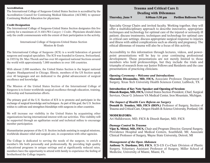#### **Accreditation**

The International College of Surgeons-United States Section is accredited by the Accreditation Council for Continuing Medical Education (ACCME) to sponsor Continuing Medical Education for physicians.

#### **Credit Designation**

The International College of Surgeons-United States Section designates this live activity for a maximum of *24 AMA PRA Category 1 Credits*. Physicians should claim only the credit commensurate with the extent of their participation in the activity.

> International College of Surgeons-United States Section Mission & Goals

The International College of Surgeons (ICS) is a world federation of general surgeons and surgical specialists. The ICS was founded in Geneva, Switzerland, in 1935 by Dr. Max Thorek and has over 60 organized national Sections around the world with approximately 7,000 members in over 100 countries.

With almost 2,000 members, the United States Section is the largest national chapter. Headquartered in Chicago, Illinois, members of the US Section speak over 40 languages and are dedicated to the global advancement of surgical excellence and knowledge.

The Mission of the United States Section of the International College of Surgeons is to foster worldwide surgical excellence through education, training, fellowship and humanitarian efforts.

The primary goal of the U.S. Section of ICS is to promote and participate in the exchange of surgical knowledge and techniques. As part of this goal, the U.S. Section wishes to cultivate and strengthen friendships with surgeons in other countries.

We will increase our visibility in the United States by acquainting other organizations having international interest with our activities. This visibility will be supported through an egalitarian social and technical milieu to encourage member participation.

Humanitarian purposes of the U.S. Section include assisting in surgical missions, worldwide disaster relief and surgical care, in cooperation with other agencies.

The College is dedicated to serving the needs of the surgeon, to enrich a member's life both personally and professionally. By providing high quality educational programs in unique settings and at significantly reduced rates, members have the opportunity to attend with family to experience the feeling of brotherhood the College imparts.

### This session will utilize the talents, expertise and training of our own **Dealing with Dilemmas Trauma and Critical Care I:**

**Thursday, June 9 8:00am-5:30 pm Pavilion Ballroom West**

Specialty Group Chairs and invited faculty. Working together, they will offer a multidisciplinary approach to describe innovative, appropriate techniques and technology for optimal care of the injured or seriously ill patient; discuss treatments, techniques and technology for optimal care in critical care settings; discuss appropriate surgical response to injuries and illness with added complications such as obesity and pregnancy. The ethical dilemmas of trauma will also be a focus of this activity.

Accessibility to this information through lectures, videos, and powerpoint presentations will be key to your continuing professional development. These presentations are not merely limited to those members who hold professorships, but they include the trials and triumphs of research from our Junior Fellows and Residents and the case presentations of practicing clinicians.

#### *Opening Ceremony – Welcome and Introductions*

**Sharmila Dissanaike, MD, FICS,** Associate Professor, Department of Surgery, Texas Tech University Health Sciences Center, Lubbock, TX

#### **Introduction of Key Note Speaker and Opening of Session:**

**Dinesh Ranjan, MD, FICS,** United States Section President, Chief, Surgical Services, Oscar G. Johnson VA Medical Center, Iron Mountain, Michigan.

#### *The Impact of Health Care Reform on Surgery*

**Donald D. Trunkey, MD, FICS (HON.)** Professor of Surgery, Section of Trauma and Critical Care, Oregon Health & Science University, Portland, OR

#### **MODERATORS:**

Ari Halldorsson, MD, FICS & Dinesh Ranjan, MD, FICS

#### *Damage Control In Trauma*

**Vijay K. Mittal, MD, FICS,** Chair and Program Director, General Surgery, Providence Hospital and Medical Centers, Southfield, MI; Associate Clinical Professor of Surgery, Wayne State University, Detroit, MI

#### *Management of the Open Abdomen*

**Anthony N. Dardano, DO, FICS**, ICS-US Co-Chair Division of Plastic Surgery, Voluntary Assistant Professor of Surgery, Miller School of Medicine, University of Miami, Miami, FL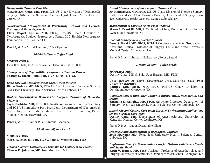*Orthopaedic Trauma Priorities*

**Maxime J.M. Coles, MD, FICS**, ICS-US Chair, Division of Orthopaedic Surgery, Orthopaedic Surgeon, Traumatologist, Girard Medical Center, Girard, KS

*Neurosurgical Management of Penetrating Cranial and Cervical Trauma – A Team Approach*

**Clara Raquel Epstein, MD, FICS**, ICS-US Chair, Division of Neurosurgery, Boulder Neurosurgery Center, LLC, Boulder Neurosurgery Foundation, Inc., Boulder, CO

Panel Q & A – Mittal/Dardano/Coles/Epstein

#### *10:30-10:40am – Coffee Break*

**MODERATORS:** John Iljas, MD, FICS & Sharmila Dissanaike, MD, FICS

*Management of Hepato-Biliary Injuries in Trauma Patients* **Thavam C. Thambi-Pillai, MD, FICS**, Sioux Falls, SD

*Endo Vascular Management of Great Vessel Injuries* **Dixon Santana, MD, FICS**, ICS-US Chair, Division of Vascular Surgery, Texas Tech University Health Sciences Center, Lubbock, TX

#### *Broken Faces/Broken Bodies: The Surgical Trauma of Domestic Violence*

**Jay A. Bachicha, MD, FICS**, ICS North American Federation Secretary and ICS-US Immediate Past President, Department of Obstetrics & Gynecology, Chief, Patient Education and Health Promotion, Kaiser Medical Center, Hayward, CA

Panel Q & A – Thambi-Pillai/Santana/Bachicha

*12:00pm-1:00pm – Lunch*

**MODERATORS: Marco A. Pelosi III, MD, FICS & John D. Wassner, MD, FICS**

*Trauma Surgery's Greatest Hits: From the 16th Century to the Present* **Thomas D. Johnston, MD**, Iron Mountain, MI

#### *Initial Management of the Pregnant Trauma Patient*

**Ari Halldorsson, MD, FICS**, ICS-US Chair, Division of Thoracic Surgery, Professor and Vice Chair, Program Director, Department of Surgery, Texas Tech University Health Sciences Center, Lubbock, TX

#### *Management of Chronic Pelvic Floor Trauma*

**Marco A. Pelosi III, MD, FICS**, ICS-US Chair, Division of Obstetrics & Gynecology, Bayonne, NJ

#### *Current Management of Rectal Injuries*

**Larry S. Sasaki, MD, FICS**, ICS-US Colorectal Specialty Group Chair, Assistant Clinical Professor of Surgery, Louisiana State University Medical Center, Shreveport, LA

Panel Q & A – Johnston/Halldorsson/Pelosi/Sasaki

#### *2:40pm-2:50pm – Coffee Break*

**MODERATORS:** Destiny Chau, MD & Zaki-Udin Hassan, MD, FICS

*Case Report of Toric Crystalens Implantation with Post Capsular Rupture* **Phillips Kirk Labor, MD, FICS**, ICS-US Chair, Division of Ophthalmology, Grapevine, TX

*Complications of Inhalation Injury in Burns: ARDS, Pneumonia, and Death* **Sharmila Dissanaike, MD, FICS**, Associate Professor, Department of Surgery, Texas Tech University Health Sciences Center, Lubbock, TX

*Anesthesia and Critical Care in the Disaster Environment: Implications for the Surgical Care Team* **Destiny Chau, MD**, Department of Anesthesiology, University of Kentucky Medical Center, Lexington KY

Panel Q & A – Labor/Dissanaike/Chau

*Diagnosis and Management of Esophageal Injuries* John Fitzwater, MD, Texas Tech University Health Sciences Center, Lubbock, TX

*Implementation of a Resuscitation Cart for Patients with Severe Sepsis and Septic Shock*

**Kevin W. Hatton, MD, FICS**, Assistant Professor of Anesthesiology and Surgery, University of Kentucky, Chandler Medical Center, Lexington, KY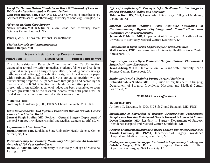*Use of the Human Patient Simulator to Teach Withdrawal of Care and DCD in the Non-Resuscitable Trauma Patient*

**Zaki-Udin Hassan, MD, FICS**, ICS-US Chair, Division of Anesthesiology, Assistant Professor of Anesthesiology, University of Kentucky, Lexington, KY

*Advances in Acute Care Surgery* **Steven Brooks, MD**, ICS Junior Fellow, Texas Tech University Health Sciences Center, Lubbock, TX

Panel Q & A – Fitzwater/Hatton/Hassan/Brooks

*Closing Remarks and Announcements* **Dinesh Ranjan, MD**

#### **Research Scholarship Presentations**

**Friday, June 10 8:00am-Noon Pavilion Ballroom West**

The Scholarship and Research Committee of the ICS-US Section extended its annual invitation to medical students, fellows, and residents in general surgery and all surgical specialties (including anesthesiology, pathology and radiology) to submit an original clinical research paper with pertinent clinical application for this annual competition with an overwhelming response. All papers were first judged and scored by the members of the ICS-US Section Scholarship Committee prior to this presentation. An additional panel of judges has been assembled to score the oral presentation of the research. Scores from both panels will be totaled and the winners announced at the Convocation.

#### **MODERATORS**

Anthony N. Dardano, Jr., DO, FICS & Chand Ramaiah, MD, FICS

#### *Intra-Tumoral Acetic Acid Injection Eradicates Human Prostate Cancer Tumors in a Murine Model*

**Jasneet Singh Bhullar, MD**, Resident, General Surgery, Department of General Surgery, Providence Hospital and Medical Centers, Southfield, MI

#### *Laparoscopic Liver Resection*

**Darin Doumite, MD**, Louisiana State University Health Science Center, Shreveport, LA

#### *Pneumonectomy for Primary Pulmonary Malignancy: An Outcomes Analysis of 100 Consecutive Cases*

**Rohan, J. Kalathia, MS3**, University of Kentucky, College of Medicine, Lexington, KY

#### *Effect of Antifibrinolytic Prophylaxis for On-Pump Cardiac Surgeries on Post Operative Bleeding and Mortality*

**Abhinav Koul, BS**, **MS3**, University of Kentucky, College of Medicine, Lexington, KY

#### *Surgical Resident Training Using Real-time Simulation of Cardiopulmonary Bypass Physiology and Complications with Integration of Echocardiography*

**Jeremiah T. Martin, MD**, Department of Surgery and Anesthesiology, University of Kentucky Medical Center, Lexington, KY

#### *Comparison of Open versus Laparoscopic Adrenalectomies* **Matt Sanders, PGY**, Louisiana State University Health Science Center,

Shreveport, LA

#### *Laparoscopic versus Open Peritoneal Dialysis Catheter Placement: A Single Institution Experience*

**Jean L. Sheng, MD**, ICS Junior Fellow, Louisiana State University Health Science Center, Shreveport, LA

#### *Minimally Invasive Training During Surgical Residency*

**Gokulakkrishna Subhas, MD**, ICS Junior Fellow, Resident in Surgery, Department of Surgery, Providence Hospital and Medical Center, Southfield, MI

#### *10:30-10:45am – Coffee Break*

#### **MODERATORS**

Anthony N. Dardano, Jr., DO, FICS & Chand Ramaiah, MD, FICS

*Significance of Expression of Estrogen Receptor-Beta, Progesterone Receptor and Vascular Endothelial Growth Factor-A in Colorectal Cancer* **Deepa Taggarshe, MD**, Resident in Surgery, Department of Surgery, Providence Hospital and Medical Center, Southfield, MI

*Receptor Changes in Metachronous Breast Cancer; Our 10 Year Experience* **Amruta Unawane, MD, PGY-1**, Department of Surgery, Providence Hospital and Medical Center, Southfield, MI

*Cholecystectomy on the Steppe: Sustainable Laparoscopy in Mongolia* Gabriela Vargas, MD, Resident in Surgery, University of Utah, Department of Surgery, Salt Lake City, UT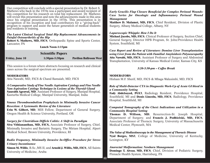Our competition will conclude with a special presentation by Dr. Robert S. Mathews who back in the 1970s was a participant and award recipient of this competition for his research on total hip replacement. Dr. Mathews will revisit this presentation and note the advancements made in this area since his original presentation in the 1970s. This presentation is in recognition of his inception and lead contributory for a "giving-back" program to support and assist the future generation of medical students and residents in training.

#### *The Latest Clinical Surgical Total Hip Replacement Advancements in Painful Osteoarthritis of the Hip*

Robert S. Mathews, MD, FICS, Orthopaedic Spine and Sports Center, Lancaster, PA

**Lunch Noon-1:15pm**

**Scientific Papers**

**Friday, June 10 1:30pm-5:30pm Pavilion Ballroom West**

This session is a forum where abstracts focusing on research and clinical cases across the surgical spectrum are presented.

#### **MODERATORS**

Atta Nawabi, MD, FICS & Chand Ramaiah, MD, FICS

*A Comparative Study of Fine Needle Aspiration Cytology and Fine Needle Non-Aspiration Cytology Technique in Lesions of the Thyroid Gland* **Saurabh Agrawal, MD**, Assistant Professor of Surgery, Manipal Hospital, Kasturba Medical College, Manipal University, Manipal, India

#### *Venous Thromboembolism Prophylaxis in Minimally Invasive Cancer Resection: A Systematic Review of the Literature*

**Erin W. Gilbert, MD**, MIS Fellow, Department of General Surgery, Oregon Health & Science University, Portland, OR

### *Surgery for Clostridium Difficle Colitis: A Shift in Paradigm*

**Siva Vithiananthan, MD, FICS,** Associate Professor of Surgery, Chief, Minimally Invasive and Bariatric Surgery, The Miriam Hospital, Alpert Medical School, Brown University, Providence, RI

#### *Radio Frequency, Minimally Invasive In-Office Procedure for Stress Urinary Incontinence*

**Simon M. Willis**, B.Sc.,MS II, and **Arnold J. Willis, MD, FICS**, All Saints University of Medicine, Aruba

#### *Early Gracilis Flap Closure Beneficial for Complex Perineal Wounds: Case Series for Oncologic and Inflammatory Perineal Wound Management*

**Matthew D. Malamet, MD, FICS**, Chief Resident, Division of Plastic Surgery, Albany Medical College, Albany, NY

#### *Laparoscopic Whipple: How I Do It*

**Michael Jacobs, MD, FICS**, Clinical Professor of Surgery, Section Chief, General Surgery, Director HPB Program, St. John/Providence Health System, Southfield, MI

*Case Report and Review of Literature: Domino Liver Transplantation using Liver from the Patient with Familial Amyloidosis Polyneuropathy* **Atta Nawabi, MD, FICS**, Assistant Professor of Surgery and Abdominal Transplantation, University of Kansas Medical Center, Kansas City, KS

#### *3:20-3:30-pm – Coffee Break*

#### **MODERATORS**

Hisham M.F. Sherif, MD, FICS & Mbaga Walusimbi, MD, FICS

#### *Role of Multi-Detector CTA in Diagnostic Work-Up of Acute GI bleed in a Community Setting*

**Fady Abdelsayed, PGY3**, Radiology Resident, Providence Hospital, Southfield, MI and **Denis Lincoln, MD, FICS**, Radiology, Providence Hospital, Southfield, MI

#### *Computed Tomography of the Chest: Indications and Utilization in a Community Hospital Setting*

**Thomas D. Willson, MD**, Resurrection-St. Joseph Hospital, Department of Surgery; and **Francis J. Podbielski, MD, FICS**, Associate Professor of Thoracic Surgery, University of Massachusetts Medical Center, Plymouth, MA

### *The Value of Mediastinoscopy in the Management of Thoracic Disease*

**Nyal Borges, MS3**, College of Medicine, University of Kentucky, Lexington, KY

#### *Anorectal Malformation: Newborn Management*

**Domingo T. Alvear, MD, FICS**, Chief, Division of Pediatric Surgery, Pinnacle Health System, Harrisburg, PA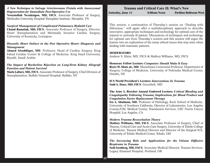#### *A New Technique to Salvage Arteriovenous Fistula with Aneurysmal Degeneration for Immediate Post-Operative Use*

**Nosratollah Nezakatgoo, MD, FICS**, Associate Professor of Surgery, Methodist University Hospital Transplant Institute, Memphis, TN

### *Surgical Management of Complicated Pulmonary Hydatid Cyst*

**Chand Ramaiah, MD, FICS**, Associate Professor of Surgery, Director, Heart Transplantation and Minimally Invasive Cardiac Surgery, University of Kentucky, Lexington

#### *Diastolic Heart Failure in the Post Operative Heart: Diagnosis and Management*

**Ahmed Alsaddique, MD**, Professor, Head of Cardiac Surgery, King Fahad Cardiac Center & College of Medicine, King Saud University, Riyadh, Saudi Arabia

#### *The Impact of Borderline Rejection on Long-Term Kidney Allograft Function and Patient Survival*

**Mark Laftavi, MD, FICS**, Associate Professor of Surgery, Chief Division of Transplantation, Buffalo General Hospital, Buffalo, NY

### **Trauma and Critical Care II: What's New Saturday, June 11 8:00am-Noon Pavilion Ballroom West**

This session, a continuation of Thursday's session on "Dealing with Dilemmas," will again offer a multidisciplinary approach to describe innovative, appropriate techniques and technology for optimal care of the injured or seriously ill patient. Discussions of techniques and technology for optimal care from Thursday's session and this session will segue the learner into an exploration of the many ethical issues that may arise when dealing with traumatic patients.

#### **MODERATORS**

Andrew S. Klein, MD, FICS & Mallory Williams, MD, FICS

#### **Honorary Fellow Lecture:** *Computers Should Make It Easy*

**Byers W. Shaw, Jr., MD**, Musselman Centennial Professor, Department of Surgery, College of Medicine, University of Nebraska Medical Center, Omaha, NE

**ICS World President's Lecture:** *Interventions In Trauma* **Said A. Daee, MD, FICS**, Greenbelt, MD

#### **The Arno A. Roscher Annual Endowed Lecture:** *Critical Bleeding and Coagulopathy Following Trauma; Implications for Blood Product and Coagulation Factor Replacement Therapy*

**Ira A. Shulman, MD**, Professor of Pathology, Keck School of Medicine, University of Southern California, Director of Laboratories, Los Angeles County/USC Medical Center, Transfusion Services, USC Norris Cancer Hospital, Los Angeles, CA

#### *Modern Trauma Resuscitation Theory*

**Mallory Williams, MD, FICS**, Associate Professor of Surgery, Chief of Trauma, Critical Care and Acute Care Surgery, University of Toledo College of Medicine, Trauma Medical Director and Director of the Surgical ICS, University of Toledo Medical Center, Toledo, OH

#### *The Increasing Role and Applications for the Volume Diffusive Respirator in Trauma*

**Seth Izenberg, MD, FACS**, Associate Medical Director, Trauma Services, Legacy Emanuel Hospital, Portland, OR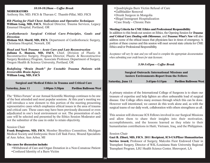#### *10:10-10:20am – Coffee Break*

**MODERATORS**

Anthony Sin, MD, FICS & Thavam C. Thambi-Pillai, MD, FICS

*Rib Plating for Flail Chest: Indications and Operative Techniques* **William Long, MD, FACS**, Medical Director, Trauma Services, Legacy Emanuel Hospital, Portland, OR

*Cardiothoracic Surgical Critical Care: Principles, Goals and Direction* **Hisham M.F. Sherif, MD, FICS**, Department of Cardiothoracic Surgery,

Christiana Hospital, Newark, DE

*Head and Neck Trauma – Acute Care and Late Reconstruction* **Juliana E. Hansen, MD, FACS**, Chief, Division of Plastic & Reconstructive Surgery, Program Director, Plastic & Reconstructive Surgery Residency Program, Associate Professor, Department of Surgery, Oregon Health & Science University, Portland, OR

#### *Redefining "Brain Death" for Unstable Trauma Patients with Irreversible Brain Injury* **William Long, MD, FACS**

### **Surgical and Medical Ethics in Trauma and Critical Care**

| <b>Saturday, June 11</b> | $1:00 \text{pm} - 3:30 \text{pm}$ | <b>Pavilion Ballroom West</b> |
|--------------------------|-----------------------------------|-------------------------------|
|                          |                                   |                               |

The "Ethics Forum" at our Annual Scientific Meetings continues to be one of the best attended and most popular sessions. At this year's meeting we will introduce a new element to this portion of the meeting presenting representative cases which emphasize ethical issues in the area of trauma and critical care. These cases may have been previously discussed or even adjudicated in one's local environment or not. The presentation of each case will be selected and presented by the Ethics Session Moderator and not the submitter of the case in order to retain objectivity.

#### Session Chair

**Frank Bongiorno, MD, FICS**, Member Bioethics Committee, Michigan Medical Society and Embryonic Stem Cell Task Force, Wound Specialists of Ann Arbor, Ann Arbor, MI

### **The cases for discussion include:**

- •Withdrawal of Care and Organ Donation in a Non-Comatose Patient
- •Confused Identity of a Burn Victim
- •Quadriplegia Burn Victim Refusal of Care
- •Gallbladder Removal
- •Drunk Surgeon in Mongolia
- •Illegal Immigrant Hospitalization
- •Case Study Chronic Pain

### **Meeting Criteria for CME Ethics and Professional Responsibility**

In addition to this break-out session on Ethics, the Opening Session for *Trauma and Critical Care: Dealing with Dilemmas*, and *Trauma: What's New* will also address some of the ethical issues that physicians face in times of emergency. A portion of these courses and this session will meet several state criteria for CME Ethics and/or Professional Responsibility.

*Acceptance will vary by state and you will need to complete the appropriate documentation when submitting your credit hours for state licensure*.

#### *3:30-3:45pm – Coffee Break*

#### **Surgical Outreach: International Missions and Austere Environments-Report from the Fellows**

**Saturday, June 11 3:45pm-5:15pm Pavilion Ballroom West**

A primary mission of the International College of Surgeons is to share our treasure of expertise and help lighten an often unbearable load of surgical disease. Our College offers many avenues through which this can be done. However well intentioned, we cannot do this work alone and, as with the surgical teams of our daily work, collaboration with others strengthens us all.

This session will showcase ICS Fellows involved in our Surgical Missions and allow them to share their insights into their motivation, accomplishments, and the lessons learned as they relate to their humanitarian contributions in Haiti, Vietnam, Iraq, and the Philippines.

#### Session Chair

**Gazi B. Zibari, MD, FICS**, **2011 Recipient, ICS-US/Pfizer Humanitarian Service Award,** Professor of Surgery, Malcolm Fiest Endowed Chair in Transplant Surgery, Director of W.K./Louisiana State University Regional Transplant Program, LSU Health Science Center, Shreveport, LA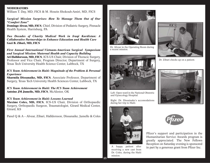#### **MODERATORS**

William T. Day, MD, FICS & M. Hosein Shokouh-Amiri, MD, FICS

#### *Surgical Mission Surprises: How To Manage Them Out of Our "Comfort Zone"*

**Domingo Alvear, MD, FICS**, Chief, Division of Pediatric Surgery, Pinnacle Health System, Harrisburg, PA

*Two Decades of Charity Medical Work in Iraqi Kurdistan: A Collaborative Partnerships to Enhance Education and Health Care* **Gazi B. Zibari, MD, FICS**

*First Annual International Vietnam-American Surgical Symposium and Surgical Mission: Maternal Health and Capacity Building* **Ari Halldorsson, MD, FICS**, ICS-US Chair, Division of Thoracic Surgery, Professor and Vice Chair, Program Director, Department of Surgery,

Texas Tech University Health Science Center, Lubbock, TX

*ICS Team Achievement in Haiti: Magnitude of the Problem & Personal Experience*

**Sharmila Dissanaike, MD, FICS**, Associate Professor, Department of Surgery, Texas Tech University Health Sciences Center, Lubbock, TX

*ICS Team Achievement in Haiti: The ICS Team Achievement*  **Antoine JM Jumelle, MD, FICS**, McAlester, OK

#### *ICS Team Achievement in Haiti: Lessons Learned*

**Maxime Coles, MD, FICS**, ICS-US Chair, Division of Orthopaedic Surgery, Orthopaedic Surgeon, Traumatologist, Girard Medical Center, Girard, KS

Panel Q & A – Alvear, Zibari, Halldorsson, Dissanaike, Jumelle & Coles



Dr. Alvear in the Operating Room during a recent mission.



Dr. Zibari checks up on a patient.



Left: Open ward in the National Obstetric and Gynecology Hospital.

Right: Dr. Dissainake's accomodations during her trip to Haiti.



Dr. Coles, during the Haiti mission.





Pfizer's support and participation in the Humanitarian Service Awards program is greatly appreciated. The New Fellows Reception on Saturday evening is sponsored A happy patient after in part by a generous grant from Pfizer Inc. receiving a new cast from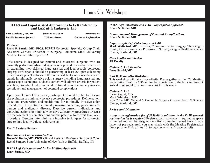# Hands-On Workshops

#### **HALS and Lap-Assisted Approaches to Left Colectomy and LAR with Cadaveric Lab**

**Part I; Friday, June 10 8:00am-11:30am Broadway IV Part II; Saturday, June 11 7:30 am - Noon Gather at Registration**

#### Producer

**Larry S. Sasaki, MD, FICS**, ICS-US Colorectal Specialty Group Chair, Assistant Clinical Professor of Surgery, Louisiana State University Medical Center, Shreveport, LA

This course is designed for general and colorectal surgeons who are currently performing advanced laparoscopic procedures and are interested in expanding their skills to hand-assisted and laparoscopic colorectal surgery. Participants should be performing at least 20 open colectomy procedures a year. The focus of the course will be to introduce the current trends in minimally invasive colon surgery including hand-assisted and laparoscopic techniques. Didactic content will address criteria for patient selection, procedural indications and contraindications, minimally invasive techniques and management of potential complications.

Upon completion of this course, participants should be able to: Discuss the evolution of minimally invasive colorectal procedures; Define patient selection, preparation and positioning for minimally invasive colon procedures; Differentiate minimally invasive colectomy procedures for benign and malignant disease; Describe current indications and contraindications for minimally invasive Colectomy procedures; Discuss the management of complications and the potential to convert to an open procedure; Demonstrate minimally invasive techniques for colorectal surgery in a faculty-guided cadaveric lab.

#### **Part I: Lecture Series -**

#### *Welcome and Course Introduction*

**Bryan N. Butler, MD, FICS**, Clinical Assistant Professor, Section of Colon Rectal Surgery, State University of New York at Buffalo, Buffalo, NY

*HALS Left Colectomy and LAR – Midline Approach* **Larry Sasaki, MD**

*HALS Left Colectomy and LAR – Suprapubic Approach* **Bryan N. Butler, MD**

*Prevention and Management of Potential Complications* **Bryan N. Butler, MD**

#### *Laparoscopic Left Colectomy and LAR*

**Mark Whiteford, MD**, Director, Colon and Rectal Surgery, The Oregon Clinic, Affiliate Associate Professor of Surgery, Oregon Health & science Center, Portland, OR

*Case Studies and Review* **All Faculty**

*Cadaveric Lab Overview* **Larry Sasaki, MD**

#### **Part II: Hands-On Workshop**

This workshop will take place off-site. Please gather at the ICS Meeting Registration Desk by 7:30 am for transportation to the lab site. Prompt arrival is essential to an on-time start for this event.

#### *Cadaveric Lab*

Larry Sasaki, MD Mark Whiteford, MD Kim C. Lu, MD, General & Colorectal Surgery, Oregon Health & Science Center, Portland, OR

#### *Review and Discussion*

*A separate registration fee of \$250.00 in addition to the PAID general registration fee is required!* Registration in advance is required as space is limited and will be assigned on a first come-first served basis. If you have not pre-registered, you may check with the Meeting Registration Desk prior to Friday, June 10, to register on-site if space permits.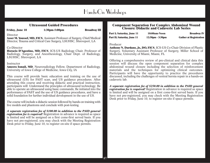# Hands-On Workshops

#### **Ultrasound Guided Procedures**

Friday, June 10 1:30pm-5:00pm Broadway III

Director

**Asser M. Youssef, MD, FICS**, Assistant Professor of Surgery, Chief/Medical Director, Trauma and Critical Care Surgery, LSUHSC, Shreveport, LA

#### Co-Director

**Horacio D'Agostino, MD, FICS**, ICS-US Radiology Chair, Professor of Radiology, Surgery, and Anesthesiology, Chair Dept. of Radiology, LSUHSC, Shreveport, LA

#### Instructor

**Ameera Ismail, MD**, Neuroradiology Fellow, Department of Radiology, University of Iowa College of Medicine, Iowa City, IA

This course will provide basic education and training on the use of ultrasound (US) for FAST scan, and US guidance procedures. After attending this course and receiving didactic and practical instruction, participants will: Understand the principles of ultrasound technology; Be able to operate an ultrasound using basic commands; Be initiated into the performance of FAST and the use of US guidance procedures, and have a solid foundation for further individual development in the use of US.

The course will include a didactic session followed by hands-on training with live models and phantoms and conclude with post-testing.

*A separate registration fee of \$100.00 in addition to the PAID general registration fee is required!* Registration in advance is required as space is limited and will be assigned on a first come-first served basis. If you have not pre-registered, you may check with the Meeting Registration Desk prior to Friday, June 10, to register on-site if space permits.

#### **Component Separation For Complex Abdominal Wound Closure: Didactic and Cadaveric Lab Series**

**Part I; Saturday, June 11 10:00am-Noon Broadway IV Part II; Saturday, June 11 12:30pm - 3:30pm Gather at Registration**

#### Producer

**Anthony N. Dardano, Jr., DO, FICS**, ICS-US Co-Chair Division of Plastic Surgery, Voluntary Assistant Professor of Surgery, Miller School of Medicine, University of Miami, Miami, FL

Offering a comprehensive review of pre-clinical and clinical data this session will discuss the open component separation for complex abdominal wound closure including the selection of reinforcement materials and the techniques for optimizing clinical outcomes. Participants will have the opportunity to practice the procedures discussed, including the challenges of ventral hernia repair in a hands-on cadaveric lab.

*A separate registration fee of \$250.00 in addition to the PAID general registration fee is required!* Registration in advance is required as space is limited and will be assigned on a first come-first served basis. If you have not pre-registered, you may check with the Meeting Registration Desk prior to Friday, June 10, to register on-site if space permits.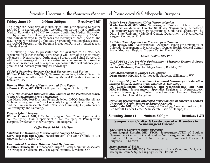Scientific Program of the American Academy of Neurological & Orthopaedic Surgeons

#### **Friday, June 10 9:00am-3:00pm Broadway I &II**

The American Academy of Neurological and Orthopaedic Surgeons (AANOS) is accredited by the Accreditation Council for Continuing Medical Education (ACCME) to sponsor Continuing Medical Education for physicians. The followin

The following AANOS presentations are available to all attendees registered for either meeting. Participants will learn of the most recent advances in Neurosurgery, Örthopaedic Surgery and Spinal Surgery. In addition, neurosurgical disease in cardiac and cerebrovascular disorders will be addressed as part of a special symposium that will enhance your practice

*C5 Palsy Following Anterior Cervical Discectomy and Fusion* **Organizing Committee and Continuing Medical Education Committee, Lafayette, CA** 

*Human Bites: Review of Literature and Case Report* **Alfonso A. Pino, MD, FICS**, Orthopaedic Surgeon, Dublin, TX

#### *Three Dimensional Volumetric MRI Studies in the Preclinical Mouse Model of Melanoma Brain Metastases*

Melanoma Program New York University Langone Medical Center, Joan<br>and Joel Smilow Research Center New York University, Departments of<br>Neurosurgery and Radiology

*Robotic Spinal Surgery*<br>**William C. Welch, MD, FICS**, Neurosurgeon, Vice Chair, Department of Neurosurgery; Chair, Department of Neurosurgery at Pennsylvania Hospital, Professor of Neurosurgery, Philadelphia, PA

#### *Coffee Break 10:30 – 10:45am*

*Solutions for Minimally Invasive Spine Surgery Challenges* **Larry Teik-man Khoo, MD**, Neurosurgeon, The Spine Clinic of Los Angeles, Los Angeles, CA

#### *Unexplained Low Back Pain - SI Joint Dysfunction* **E. Jeffrey Donner, MD**, Orthopaedic Surgeon, Rocky Mountain Associates in Orthopedic Medicine, P.C., The Spine Institute, Loveland, CO

*Pedicle Screw Placement Using Neuronavigation* and Radiation Medicine, Director, Skull Base Neurosurgery, Stereotactic Radiosurgery, Dardinger Microneurosurgical Skull Base Laboratory, The Ohio State University Medical Center, Department of Neurological Surgery, Columb

*A Global Team Approach to Neurosurgical Trauma* Gene Bolles, Department of Neurosurgery, Denver Health Medical Center, Rocky Mountain Regional Trauma Center, Denver, CO

#### *Lunch 12:00 – 1:00 PM*

*CAREOPS®: Care Provider Optimization - Vicarious Trauma & Stress in Surgical Teams & Physicians* **Stephen Robinson**, Director, Magis Group, Boulder, CO

*Pain Management in Injured Coal Miners* **Diane Shafer, MD, FICS**, Orthopaedic Surgeon, Williamson, WV

*A Paradigm Shift in International Continued Neurosurgical Education through Implementation of the Internet & Technology* **Dr. Ganesalingam Narenthiran, BSc(MedSci)(Hons) MB ChB**

**MRCS(Edin)**, Neurosurgeon, Specialist Registrar in Neurosurgery, Wessex Neurological Centre, Southampton General Hospital, Southampton, United Kingdom

**Saturday, June 11 9:00am-5:00pm Broadway I &II** *Diffusion Tractography Integrated Neuronavigation Surgery to Convert "Inoperable" Brain Tumors to Safely Resectable* **Surbhi Jain, MD, FICS**, Neurosurgical Oncology, Assistant Professor, H. Lee Moffitt Cancer Center & Research Institute, Tampa, FL

**Saturday, June 11 9:00am-5:00pm Broadway I &II**

### **Symposia on Cardiac & Cerebrovascular Disorders in Neurosurgical Disease**

*The Heart of Cerebrovascular Disorders* Neurosurgery Center, LLC and Boulder Neurosurgery Foundation, Inc., Boulder, CO and Chair of Neurosurgery, International College of Surgeons, US Section

#### *Management of AVMs*

**Lucia Zamorano, MD, FICS**, Neurosurgeon, Lucia Zamorano, MD, PLC, Michigan Brain & Spine Surgery Center, Detroit, MI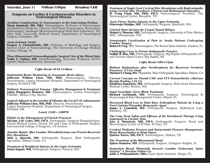**Saturday, June 11 9:00am-5:00pm Broadway I &II**

### **Symposia on Cardiac & Cerebrovascular Disorders in Neurosurgical Disease**

*Avoiding Complications in Neurosurgery in the Semi-sitting Position* Mario Ammirati, MD, MBA, Neurosurgeon, Professor of Neurosurgery<br>and Radiation Medicine, Director, Skull Base Neurosurgery, Stereotactic<br>Radiosurgery, Dardinger Microneurosurgical Skull Base Laboratory, The<br>Ohio State Univ

#### *Acute Ischemic Stroke*

**Gregory A. Christoforidis, MD**, Professor of Radiology and Surgery, Section Chief of Neuroradiology, The University of Chicago Medical Center, Chicago, IL

*Three Dimensional Echocardiographic Surgical View of the Mitral Valve* **Nadia S. Nathan, MD**, Anesthesiologist, Associate Professor, SUNY, Upstate Medical University, Syracuse, NY

#### *Coffee Break 10:45-11:00am*

*Multimodal Brain Monitoring in Traumatic Brain Injury* Neurotrauma, Legacy Emmanuel Hospital, Department of Neurological Surgery, Portland, OR

*Pediatric Neurosurgical Trauma - Effective Management & Treatment* **Jaime Diegopérez Ramírez, MD**, Neurosurgeon, Centro Neurológico CMABC, México City, México

*Surgical Adjuncts in the resection of Gliomas; the Use of 5-ALA fluorescence* **Jefferson William Chen, MD, PhD**, Director, Neurotrauma Legacy Emmanuel Hospital, Department of Neurological Surgery Portland, OR

#### *Lunch 12:00 – 1:00PM*

*Pitfalls in the Management of Clavicle Fractures* Girard Medical Center, Girard, KS and Chair of Orthopaedic Surgery, International College of Surgeons, US Section

#### *Annular Repair After Lumbar Microdiskectomy can Prevent Recurrent Disc Herniation*

**Abid A. Qureshi, MD**, Orthopaedic Surgeon, Muir Orthopaedic Specialists, Walnut Creek, CA

*Treatment of Peripheral Injuries in the Upper Extremity* **Onaly Kapasi, MD,** Orthopaedic Surgeon, Newton, MA

*Treatment of Single Level Cervical Disc Herniations with Radiculopathy using Cervical Disc Prosthesis: Clinical and Radiological Outcomes* **W. Craig Clark, MD, PhD, FICS**, Neurosurgeon, President, The Neurosurgical Center, Memphis, TN

*Acute Flexor Tendon Injuries in the Upper Extremity* **Olarewaju Oladipo, MD**, Orthopaedic Surgeon, Randolph, MA

#### *Limited Open Incision for Carpal Tunnel Release*

**Moheb S. Moneim, MD**, Orthopaedic Surgeon, University of New Mexico HSC, Albuquerque, NM

*Somatotopic Localization of Pain in Awake Patients Undergoing Lumbar Surgery* **Robert P. Uteg**, MD, Neurosurgeon, The Bonati Spine Institute, Hudson, FL

*Challenging Cases in Private Orthopaedic Practice*

**Sudhir B. Rao, MD**, Orthopaedic Surgeon, Big Rapids Orthopaedics PC and Premier Hand Center, Big Rapids, MI

#### *Coffee Break 3:00-3:15pm*

*Balloon Kyphoplasty after Vertebroplasty for Recurrent Vertebral* **Michael Y. Chang, DO**, Physiatrist, Muir Orthopaedic Specialists, Walnut, CA

*Current Concepts on Thumb CMC and STT Osteoarthritis (Abstract Receipt Pending 2.16.11)* **Dimitrios Kapoutsis, MD**, Orthopaedic Surgeon, Beth Israel Deaconess Medical Center, Boston, MA

#### *Vagal Neuralgia: Nerve Block Treatment*

**Richard Gershanik, MD**, Orthopaedic Surgeon, Neurological & Neurosurgical Pain Management Center, Miami, FL

*Decreased Blood Loss in Total Knee Arthroplasty Patients by Using a Novel Gelatin/Thrombin Hemostatic Agent*

**James L. Comadoll, MD**, Orthopaedic Surgeon, RoMedical Care, Salisbury, NC

*The Long Term Safety and Efficacy of the Intrathecal Therapy Using* **Jose J. Monsivais, MD, FICS**, Orthopaedic Surgeon, Hand and Microsurgery Center of El Paso, El Paso, TX

*Cerebral Perfusion Pressure and Intracranial Pressure Management-***Quirico Torres, MD, FICS**, Neurosurgeon, Abilene, TX

*The Treatment of the Rheumatoid Hand* **Spiros Stamelos, MD**, Orthopaedic Surgeon, Arlington Heights, IL

*Outpatient Based Minimally Invasive Lumbar Endoscopic Spine* **John A. Polikandriotis, MBA, Laser Spine Institute, Tampa, FL** 

**19**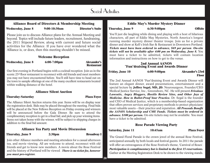# Social Activities

#### **Alliance Board of Directors & Membership Meeting Wednesday, June 8 9:00-10:30am Director's Suite**

Please join us to discuss Alliance plans for the Annual Meeting and beyond. Topics will include future leaders, recruitment, fundraising, the 2011 Stipend Review, along with current and future social activities for the Alliance. If you have ever wondered what the Alliance is, or does, then this meeting shouldn't be missed.

#### **Welcome Reception**

**Wednesday, June 8 6:00-7:00pm Alexander's**

# **Restaurant**

Our first evening in Portland begins with a cocktail reception. Join us in the scenic 23<sup>rd</sup> floor restaurant to reconnect with old friends and meet members you may not have encountered before. You'll still have time to head out on the town to sample offerings at one of the many excellent restaurants located within walking distance of the hotel.

#### **Alliance Silent Auction**

#### **Thursday-Saturday Plaza Foyer**

The Alliance Silent Auction returns this year. Items will be on display near the registration desk. Bids may be placed throughout the meeting. Final bids will be placed at the New Fellows Reception on Friday evening and winners will be announced before the Gala Dinner. Be sure to attend the complimentary reception to get in a final bid, and pick up your winning items. Items not taken home with the winner, will be subject to shipping charges in addition to the final bid amount.

#### **Alliance Tea Party and Movie Discussion**

#### **Thursday, June 9 2:30pm Broadway I**

Join other Alliance members and meeting attendees for a casual afternoon tea, and movie viewing. All are welcome to attend, reconnect with old friends and get to know new members. A movie about the Rose Festival and the history of Portland will be viewed . *There is no ticket fee, however you must pre-register.*

### **Eddie May's Murder Mystery Dinner**

**Thursday, June 9 6:30-9:00pm Offsite**

You'll just die laughing while dining and playing with a host of hilarious characters, all part of Eddie May Mysteries, North America's longest running murder mystery dinner theater troupe. Join us for a private dinner and show at Kell's Irish Bar & Restaurant in Downtown Portland. *Tickets must have been ordered in advance, \$69 per person*. *On-site tickets will not be available after 4:00 pm on Wednesday, June 8.* You must have a ticket to be admitted, tickets will contain location information and instructions on how to get to the venue.

#### **2nd Annual AANOS "Fun"draising Event and Awards Dinner**

**Friday, June 10 6:00-9:00pm Alexander's 23rd Floor**

The 2nd Annual AANOS "Fun"draising Event and Awards Dinner will feature an elegant dinner, award presentations, entertainment and a special lecture by **Jeffrey Segal, MD, JD**, Neurosurgeon, Founder/CEO Medical Justice Service, Inc., Greensboro, NC. He will present *Frivolous Lawsuits, Angry Bloggers, Hostile Review Sites, and Other Joys of Medicine. How to Bullet-Proof Your Practice. Dr. Segal is the founder* and CEO of Medical Justice, which is a membership-based organization that offers proven services and proprietary methods to protect physicians' most valuable assets – their practice and reputation. *All Proceeds Benefit the AANOS Scholarship and CME Funds. Tickets must be ordered in advance. \$100 per person.* On-site tickets may not be available. You must have a ticket to be admitted.

#### **Rose Parade Viewing Party**

#### **Saturday, June 11** 10:45am **Plaza Foyer**

The Grand Floral Parade is the crown jewel of the annual Rose Festival, anticipated annually by both locals and festival guests. In 2011 the parade will offer an extravaganza of the Rose Festival's theme, 'Carnival of Roses'. *Participation is complimentary but is limited to the first 15 reservations.* Gather at the Meeting Registration Desk to be shown to the viewing stands.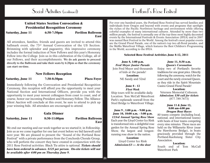### Social Activities (continued) Dortland's Rose Festival

### **United States Section Convocation & Presidential Recognition Ceremony**

**Saturday, June 11 6:30-7:30pm Pavilion Ballroom**

**East**

All attendees, families, friends and guests are invited to attend this hallmark event, the 73<sup>rd</sup> Annual Convocation of the US Section. Brimming with splendor and pageantry, this impressive ceremony includes the formal induction of New Fellows and this year's Honorary Fellow into the College. Join us in this celebration of the College, all of our Fellows, and their accomplishments. **We do ask guests to proceed directly to the Ballroom and take their seats by 6:20pm so that the ceremony can start on-time.**

#### **New Fellows Reception**

**Saturday, June 11 7:30-8:30pm Plaza Foyer**

Immediately following the Convocation and Presidential Recognition Ceremony, this reception will afford you the opportunity to meet your National Section and International Officers, provide you with the opportunity to meet your newest colleagues from coast to coast, and of course, honor our incoming President and Honorary Fellow. The Alliance Silent Auction will conclude at this event, be sure to attend to pick up your winning bids. All attendees are encouraged to attend.

#### **Gala Dinner**

#### **Saturday, June 11 8:30-11:00pm Pavilion Ballroom East**

We end our meeting and our week together as we started it; in Fellowship. Join us as we come together for one last event before we bid farewell until next year. We are pleased to present the "Sound of the Portland Rose Festival" with a private performance from the Conchords Chorale Group, who will perform the concert they have created in conjunction with the 2011 Rose Festival activities. Black Tie attire is optional. *Tickets should have been ordered in advance. \$125 per person. On-site tickets will not be available after 4:00 pm on Thursday June 9.*

For over one hundred years, the Portland Rose Festival has served families and individuals from Oregon and beyond with events and programs that spotlight the riches of the Pacific Northwest heritage and environment while offering colorful examples of many international cultures. Attended by more than two million people, the festival is annually one of the top three most highly decorated events by the International Festivals & Events Association (IFEA) and in 2007 was named Best Festival in the World. Among the festival's most popular events are the Grand Floral Parade, one of the nation's top two all-floral parades, and the WaMu Waterfront Village, which features the Best Children's Programming in the World, according to the IFEA.

#### **Selected Rose Festival Activities June 8-12, 2011**

**June 8, 1:00 p.m.** *Fred Meyer Junior Parade* Join Fred Meyer and thousands of kids at the parade! **Location:** 

NE Sandy and 52nd

#### **June 8 - 12** *Fleet Week*

Ship tours will be available daily. Location: Tom McCall Waterfront Park's esplanade seawall from the Steel Bridge to Waterfront Village.

#### **June 9 , 1:00 p.m. - 9:00 p.m. June 10, 10:00 a.m. - 5:00 p.m.** *123rd Annual Spring Rose Show* Each year the Lloyd Center Ice Rink is transformed into a delightful rose garden for the Annual Spring Rose Show, the largest and longestrunning rose show in the nation.

**Location:**  Lloyd Center Ice Rink *Admission:\$3 — At the door*

#### **June 11, 8:30 a.m.**  *Queen's Coronation*

Enjoy two of Portland's favorite traditions for one great price. Directly following the ceremony, watch for the court and the newly crowned Queen, as they ride in the Spirit Mountain Casino Grand Floral Parade!

#### **Location:**

Veterans Memorial Coliseum. *Admission: \$30 call for tickets* (877.789.7673)

#### **June 11 & June 12, 8:00 am-4:00 pm** *Dragon Boat Races*

80 teams compete (including local, national, and international teams) with heats of four teams competing every nine minutes. These races are held on the Willamette River (near the Hawthorne Bridge), in boats graciously provided through the Portland-Kaohsiung Sister City Association.

#### **Location:**

South end of Tom McCall Waterfront Park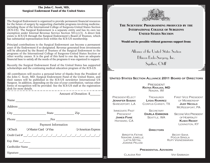#### **The John C. Scott, MD, Surgical Endowment Fund of the United States**

The Surgical Endowment is organized to provide permanent financial resources for the future of surgery by supporting charitable programs involving medicine, including those of the International College of Surgeons-United States Section (ICS-US). The Surgical Endowment is a separate entity and has its own tax exemption under Internal Revenue Service Section 501(c)(3). A direct link exists to ICS-US through the Surgical Endowment's Board of Trustees, which has substantial representation from within the ICS-US membership.

Principal contributions to the Surgical Endowment can become a permanent asset of the Endowment if so designated. Revenue generated from investments will be allocated by the Board of Trustees of the Surgical Endowment to the programs of the International College of Surgeons-United States Section or other worthy causes. It is the goal of this fund to one day have an adequate financial base to satisfy all the needs of the programs it was organized to support.

Recently the Surgical Endowment Fund of the United States has supported scholarships and the continuing medical education program of the ICS-US.

All contributors will receive a personal letter of thanks from the President of the John C. Scott, MD, Surgical Endowment Fund of the United States, and their names will be published in the ICS-US newsletter International US Surgeon. In addition, depending on the size of your contribution, various other forms of recognition will be provided. See the ICS-US staff at the registration desk for more details.

|                                   |                             | Amount of Donation: \$      |
|-----------------------------------|-----------------------------|-----------------------------|
|                                   | Name                        |                             |
|                                   |                             |                             |
|                                   |                             | $City$ $City$ $State$ $Zip$ |
|                                   | Phone Fax Fax               |                             |
| Payment Information               |                             |                             |
|                                   | OCheck O Master Card O Visa | <b>O</b> American Express   |
|                                   |                             |                             |
| Exp. Date $\_\_\_\_\_\_\_\_\_\_\$ |                             |                             |
|                                   | Cardholder Name             |                             |
|                                   | Signature                   |                             |



#### **THE SCIENTIFIC PROGRAMMING PRODUCED BY THE INTERNATIONAL COLLEGE OF SURGEONS UNITED STATES SECTION**

#### **Would not be possible without generous support from:**

Alliance of the United States Section

Ethicon Endo-Surgery, Inc.

Synthes; CMF

#### **UNITED STATES SECTION ALLIANCE 2011 BOARD OF DIRECTORS**

**PRESIDENT RATNA RANJAN, MD** NIAGRA, WI

PRESIDENT-ELECT **JENNIFER SASAKI** SHREVEPORT | A

**TREASURER LYDIA RAMIREZ** CORPUS CHRISTI, TX FIRST VICE PRESIDENT OF MEMBERSHIP **JUDY NICOLO** MCKEESPORT, PA

IMMEDIATE PAST PRESIDENT **JAMES FANE** HAYWARD, CA

**22**

**SECRETARY Darla Emmons** SEATTLE, WA

SECOND VICE PRESIDENT OF HOSPITALITY **KUSHI REDDY** LEXINGTON, KY

#### **DIRECTORS**

Birgitta Fathie Nahomi Jumelle Latta Mittal Joanne Pelosi

BECKY SAHA Pooja Singla Rupy Vigneswaran

#### **PRESIDENTIAL ADVISORS**

Claudia Ray Vivi Sabbagh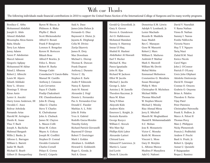## With our Thanks

The following individuals made financial contributions in 2010 to support the United States Section of the International College of Surgeons and its many worthy programs.

Boniface C. Abba Mohammed Abdallah Joseph G. Abdo Ahmed Abdullah Moustapha Abou-Samra Baba Abudu Terry Lee Adams Jenny Adams Azeez P. Adeduntan Marcel Admoni Gregorio Aglipay Mohammed M Akbar Faisal I. Albanna Robert J. Albrecht Louis M. Alpern Ghiath Alshkaki Rene' L. Alvarez Domingo T. Alvear Kiran Amin Lester A. Ancelet Harry Linne Anderson, III Osvaldo C. Anez Bolivar Arboleda Fernando Arias Harold M. Arrington Danilo K. Asase Thuc T. Bach Joseph A. Bachicha Mahmud Bangash Willie J. Banks, Jr. Alfonso L. Barragan William L. Barrett Jaafar M. Bazih Michael E. Bearb Gilbert D. Beauperthuy

Byron W. Biscoe, Jr. Philmore A. Blake Phyllis C. Bleck Scott Blickensderfer Alfred O. Bonati Frank P. Bongiorno Lorenzo S. Bongolan Kerem H. Bortecen Bikash Bose Alfred P. Bowles, Jr. Felice L. Bruno Robert H. Burke Nissage Cadet Consolacion V. Cancio-Babu Manuel M. Castillo Anthony J. Catanese Luis Cervantes Fayez F. Chahfe Pradip Chakrabarti P.R. Chandrasekaran John B. Chang Allan G. Charles Steve T. Charles K. Chelvakumar John A. Chuback James M. Clayton L. Mason Cobb Brian M. Cohen Wayne A. Colizza Joseph M. Conflitti Stephen D. Conrad Osvaldo Contarini Charles Cornell Pelayo E. Correa David J. Cziperle

Said A. Daee James John Dehen Jr. Fernando G. Diaz Raymond A. Dieter, Jr. Jayanta K. Dirghangi Celia M. Divino Zarija Djurovic James R. Doty Max Downham Michael L. Drerup Thomas K. Duncan Frank Dupont Anthony J. Durante Victor C. Dy Stephen E. Earle Andre P. Edmonds Nancy E. Epstein Amir H. Fatemi Alexander J. Feigl Dennis L. Fernandez Paz A. Fernandez-Cruz Donald C. Fiander Mathias A. L. Fobi John B. Fobia Yves A. Gabriel Rodolfo Garza-Morales Timothy Gelety Richard Patrick Giovanelli Raymond P. Girnys Robert T. Goetzinger Mark I. Golden Abraham L. Goldfarb Howard G. Goldsmith Roger L. Gonda, Jr. Neil A. Green

Gerald Q. Greenfield, Jr. Gary S. Grover Steven A. Gunderson Ari O. Halldorsson Mohamed Hamdani Sammy A. Hamway Imran Ul Haq Shahid H. Hashmi Abdelkaker Al Hawasli Earl T. Hecker Michael K. Hsu Panos Ignatiadis John H. Iljas Richard W. Jackson Elliot W. Jacobs Michael J. Jacobs George L. Juler Antoine J. M. Jumelle Theodore Kaczmar, Jr Raza M. Khan Tariq N Khan Akiyoshi Kido Andrew Klein Emerson L. Knight, Jr. Kestutis Kuraitis George Kuzycz William C. Kwock Win Maw Kyi Phillips Kirk Labor Alexander Latteri Chirund Lava Edmund P. Lawrence, Jr. Martin L. Lazar Joel Levitt Denis R. Lincoln

Demetrius E.M. Litwin Adolph V. Lombardi, Jr. Lester Machado Ricardo B. Maddela Isaac Madeb Rex C. Manayan Gene W. Manzetti Robert J. Marx William E. Mathews Ambrish P. Mathur Mark S. Maxwell William Mc Devitt Mehul Mehta Emmanuel Melissinos Constantino G. Mendieta Susan Messinger Philip S. Metz Christopher B. Michelsen Michael Millis Thomas Mincheff W. Stephen Minore Michael J. Minsky Riaz Ahmad Mirza Jerry E. Mitchell Maseih M. Moghaddassi Hamid R. Mohammadzadeh S.C. Mohan Jose R. Monasterio Victor C. Moneke Keith M. Monson Vincent L. Moss Gary D. Motykie L. Alfonso Munoz Mudiwa P. Munyikwa Adel G. Nafrawi

David V. Nasrallah V. Rama Nathan Viswa B. Nathan Sammy I. Nawas Fombe Ndiforchu Victoria Neave Huy T. T. Nguyen Tariq Niazi Zahid B.M. Niazi Enrico Nicolo Carol Nigro John J. O'Connor Patrick F. O'Leary Uretz John Oliphant Akinlolu Omitowoju David R. Onsager Cosmas O. Onuora Godwin O. Onyema Brian A. Palafox Theodore S. Parins Vijay Patel Peter Patetsios Christopher Patronella Frank X. Pedlow, Jr. Marco A. Pelosi II Thomas Percy Marc J. Philippon Nicky Plementosh Francis J. Podbielski Andrew F. Precht Basil A. Pruitt, Jr. Robert L. Quigley Asmat U. Quraishi P. Rajagopalan Roque J. Ramirez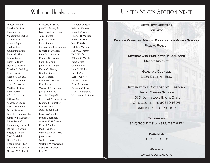### With our Thanks (continued)

# UNITED STATES SECTION STAFF

Dinesh Ranjan Bhaskar N. Rao Ramineni Rao Mohammad Rashid Claudia Ray Alfredo Rego Shuhua Ren Mohammad Riaz Stuart G. Rice Bruno Ristow Karen A. Rizzo Dennis J. Robison Charles B. Rodning Kevin Roggin Joseph A. Rojas II Louis L. Rondini Arno A. Roscher Matthew J. Ross Mark Russo Adib H. Sabbagh J. Garry Sack A. Chasby Sacks Joel A. Saltzman Dixon Santana Perry Lee Schoenecker Matthew J. Schuchert J. Lee Sedwick Romualdo J. Segurola Daniel H. Serrato Magdy S. Shady Shafi Shafaieh Diane Shafer Bhanukumar Shah Michael B. Shannon Hisham M.F. Sherif

Kimberly K. Short Jose E. Silva-Ayala Lawrence J Singerman Ajay Singhal John W. Snead Peter Somers Somprasong Songcharoen Richard Marc Spiro Palur V. Sridharan Pramod Srivastava Samir J. Srouji James S. St. Louis David G. Stanley Kerstin Stenson Juan R. Stern David Paul Sufian Ken Takasaki Vasken K. Tenekjian Joel J. Teplinsky Isaac M. Thapedi Jose Rodolfo Thomas-Richards Kishore S. Tonsekar Richard Toon Griselda Trinidad Georgios Tsoulfas Pituck Ungsunan Alfonso E. Urdaneta Pedro J. Valdes Paul J. Vallone Harold J.P. van Bosse Jacob Varon Walter B. Vernon Wickii T. Vigneswaran Osias M. Villaflor Phuc Vo

L. Dieter Voegele Keith A. Vollstedt Ronald W. Wadle Charles R. Wallace Robert Walsky John E. Walz Ralph L. Warren Roger D. Warren Tarik Wasfie William C. Welch Irene White Cindy Willer Irvin H. Willis David Wren, Jr. Carl F. Wurster Charles Xeller Asser M. Youssef Zdravka Zafirova Ihor A. Zakaluzny Mohammad S. Zaman

**24**

**EXECUTIVE DIRECTOR** NICK REBEL

#### **DIRECTOR CONTINUING MEDICAL EDUCATION AND MEMBER SERVICES**

PAUL A. PANCER

#### **MEETING AND PUBLICATIONS MANAGER**

MAGGIE KEARNEY

**GENERAL COUNSEL**

LEON EDELMAN, ESQ.

**INTERNATIONAL COLLEGE OF SURGEONS UNITED STATES SECTION** 1516 NORTH LAKE SHORE DRIVE CHICAGO, ILLINOIS 60610-1694 UNITED STATES OF AMERICA

**TELEPHONE** (800) 766-FICS OR (312) 787-6274

> **FACSIMILE** (312) 787-9289

#### **WEB SITE**

WWW.FICSONLINE.ORG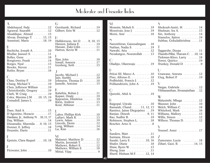# Moderator and Presenter Index

| A<br>Abdelsayed, Fady $\dots \dots \dots \dots 12$<br>Agrawal, Saurabh 12                                                                                                                                                                                                          | G<br>Gershanik, Richard<br>Gilbert, Erin W.                                                                                                         |
|------------------------------------------------------------------------------------------------------------------------------------------------------------------------------------------------------------------------------------------------------------------------------------|-----------------------------------------------------------------------------------------------------------------------------------------------------|
| Alsaddique, Ahmed 13<br>Alvear, Domingo T. $\dots$ . $13, 15$<br>Ammirati, Mario 18, 19                                                                                                                                                                                            | H<br>Halldorsson, Ari O.<br>Hansen, Juliana E                                                                                                       |
| B<br>Bachicha, Joseph A. 10<br>Bhullar, Jasneet S. 11                                                                                                                                                                                                                              | Hassan, Zaki-Udin.<br>Hatton, Kevin W.                                                                                                              |
| Bolles, Gene 18<br>Bongiorno, Frank 14<br>Borges, Nyal $\dots \dots \dots \dots \dots \dots 13$<br>Brooks, Steven 11                                                                                                                                                               | L<br>Iljas, John $\dots \dots$<br>Ismail, Ameera<br>Izenberg, Seth                                                                                  |
| Butler, Bryan $\dots \dots \dots \dots \dots 16$                                                                                                                                                                                                                                   | $\mathbf{J}$                                                                                                                                        |
| C<br>Chau, Destiny F. $\dots \dots \dots \dots \dots$<br>Chang, Michael Y. $\dots \dots \dots \dots$ 19                                                                                                                                                                            | Jacobs, Michael J<br>Jain, Surbhi<br>Johnston, Thomas D.<br>Jumelle, Antoine                                                                        |
| Chen, Jefferson William 19<br>Christoforidis, Gregory 19<br>Clark, W. Craig $\dots \dots \dots \dots \dots$ 19<br>Coles, Maxime J.M. 10, 15, 19<br>Comadoll, James L. 19                                                                                                           | K<br>Kalathia, Rohan J<br>Kapasi, Onaly<br>Kapoutsis, Dimitrios<br>Klein, Andrew                                                                    |
| $\mathbb{D}$                                                                                                                                                                                                                                                                       | Koul, Abhinav                                                                                                                                       |
| Daee, Said A. $\dots \dots \dots \dots \dots \dots 13$<br>D'Agostino, Horacio 17<br>Dardano, Jr., Anthony N. 10, 11, 17<br>Day, William $\ldots \ldots \ldots \ldots 14$<br>Dissanaike, Sharmila 9, 10, 15<br>Donner, E. Jeffrey $\dots \dots \dots \dots 18$<br>Doumite, Darin 11 | Labor, Phillips Kirk<br>Laftavi, Mark R<br>Lewis, Adam $\dots$ .<br>Lincoln, Denis $\dots$<br>Long, William $\ldots$ .<br>Lu, Kim $\dots\dots\dots$ |
| F<br>Epstein, Clara Raquel 10, 18                                                                                                                                                                                                                                                  | М<br>Malamet, Matthew D<br>Martin, Jeremiah T.                                                                                                      |
| F<br>Fitzwater, John 10                                                                                                                                                                                                                                                            | Mathews, Robert S.<br>Mathews, William E.<br>Mittal Viiav                                                                                           |

| ∪<br>Gershanik, Richard 19<br>Gilbert, Erin W. 12                                                                                                                                      |
|----------------------------------------------------------------------------------------------------------------------------------------------------------------------------------------|
| Н<br>Halldorsson, Ari O. 9, 10, 15<br>Hansen, Juliana E.<br>Hassan, Zaki-Udin 11<br>Hatton, Kevin W. 11                                                                                |
| L<br>Iljas, John 10<br>Ismail, Ameera 17<br>Izenberg, Seth $\dots \dots \dots \dots \dots 13$                                                                                          |
| J<br>Jacobs, Michael J. 12<br>Jain, Surbhi<br>Johnston, Thomas D. 10<br>Jumelle, Antoine $\dots \dots \dots 15$                                                                        |
| K<br>Kalathia, Rohan J. $\dots \dots \dots 11$<br>Kapasi, Onaly<br>Kapoutsis, Dimitrios<br>19<br>Klein, Andrew<br>Koul, Abhinav<br>Allender Allender, Allender Andrews, 2008           |
| L<br>Labor, Phillips Kirk 10<br>Laftavi, Mark R. 13<br>Lewis, Adam $\ldots \ldots \ldots \ldots 19$<br>Lincoln, Denis $\dots \dots \dots \dots 12$<br>Long, William 14<br>Lu, Kim   16 |
| M<br>Malamet, Matthew D. 12<br>Martin, Jeremiah T.<br>Mathews, Robert S. 12<br>Mathews, William E. 18<br>Mittal, Vijay  9                                                              |

| М<br>Moneim, Moheb S. 19<br>Monsivais, Jose J. $\dots \dots \dots \dots$ 19<br>Morsi, Amr $\ldots \ldots \ldots \ldots 18$<br>$\mathsf{N}$                                                           | $\mathcal{S}_{0}$<br>Shokouh-Amiri, H. 14<br>Shulman, Ira A. $\dots \dots \dots \dots \dots 13$<br>$Sin, Anthony \ldots \ldots \ldots \ldots \ldots 14$<br>Stamelos, Spiros 19<br>Subhas, Gokulakkrishna 11 |
|------------------------------------------------------------------------------------------------------------------------------------------------------------------------------------------------------|-------------------------------------------------------------------------------------------------------------------------------------------------------------------------------------------------------------|
| Narenthiran, Ganesalingam 18                                                                                                                                                                         | T                                                                                                                                                                                                           |
| Nathan, Nadia S. 19                                                                                                                                                                                  | Taggarshe, Deepa $\dots \dots \dots \dots 11$                                                                                                                                                               |
| Nawabi, Atta 12                                                                                                                                                                                      | Thambi-Pillai, Thavam C. 10, 14                                                                                                                                                                             |
| Nezakatgoo, Nosratollah 13                                                                                                                                                                           | Tiekman-Khoo, Larry 18                                                                                                                                                                                      |
| $\bigcirc$                                                                                                                                                                                           | Torres, Quirico 19                                                                                                                                                                                          |
| Oladipo, Olarewaju 19                                                                                                                                                                                | Trunkey, Donald D. $\dots \dots \dots$ .9                                                                                                                                                                   |
| $\mathbb{D}$                                                                                                                                                                                         | U                                                                                                                                                                                                           |
| Pelosi III, Marco A. 10                                                                                                                                                                              | Unawane, Amruta 12                                                                                                                                                                                          |
| Pino, Alfonso E. 18                                                                                                                                                                                  | Uteg, Robert P. $\dots \dots \dots \dots 19$                                                                                                                                                                |
| Podbielski, Francis J. 12                                                                                                                                                                            | $\sqrt{}$                                                                                                                                                                                                   |
| Polikandriotis, John A. 19                                                                                                                                                                           | Vargas, Gabriela 12                                                                                                                                                                                         |
| $\bigcirc$                                                                                                                                                                                           | Vithiananthan, Sivamainthan 12                                                                                                                                                                              |
| Qureshi, Abid A. 19                                                                                                                                                                                  | W                                                                                                                                                                                                           |
| $\mathbb{Q}$                                                                                                                                                                                         | Walusimbi, Mbaga 12                                                                                                                                                                                         |
| Rajgopal, Ujwala 10                                                                                                                                                                                  | Wassner, John $\dots \dots \dots \dots \dots 10$                                                                                                                                                            |
| Ramaiah, Chand 11, 12, 13                                                                                                                                                                            | Welch, William C. 18                                                                                                                                                                                        |
| Ramírez, Jaime Diegopérez 19                                                                                                                                                                         | Whiteford, Mark 16                                                                                                                                                                                          |
| Ranjan, Dinesh 9, 11                                                                                                                                                                                 | Williams, Mallory 13                                                                                                                                                                                        |
| Rao, Sudhir B. 19                                                                                                                                                                                    | Willis, Simon 12                                                                                                                                                                                            |
| Robinson, Stephen L. 18                                                                                                                                                                              | Willson, Thomas D. $\dots \dots \dots 12$                                                                                                                                                                   |
| Roscher, Arno A. 8                                                                                                                                                                                   | $\overline{\mathsf{V}}$                                                                                                                                                                                     |
| S<br>Sanders, Matt 11<br>Santana, Dixon 10<br>Sasaki, Larry S. 10, 16<br>Shafer, Diane 18<br>Shaw, Byers W. 13<br>Sheng, Jean $\dots \dots \dots \dots \dots \dots 11$<br>Sherif, Hisham M.F. 12, 14 | Youssef, Asser 17<br>$\overline{I}$<br>Zamorano, Lucia 18<br>Zibari, Gazi, B. 14, 15                                                                                                                        |